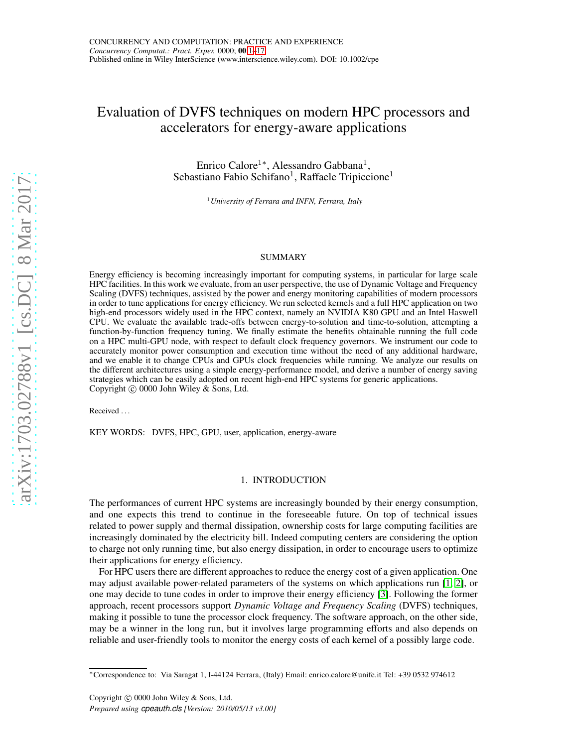# <span id="page-0-0"></span>Evaluation of DVFS techniques on modern HPC processors and accelerators for energy-aware applications

Enrico Calore<sup>1\*</sup>, Alessandro Gabbana<sup>1</sup>, Sebastiano Fabio Schifano<sup>1</sup>, Raffaele Tripiccione<sup>1</sup>

<sup>1</sup>*University of Ferrara and INFN, Ferrara, Italy*

# SUMMARY

Energy efficiency is becoming increasingly important for computing systems, in particular for large scale HPC facilities. In this work we evaluate, from an user perspective, the use of Dynamic Voltage and Frequency Scaling (DVFS) techniques, assisted by the power and energy monitoring capabilities of modern processors in order to tune applications for energy efficiency. We run selected kernels and a full HPC application on two high-end processors widely used in the HPC context, namely an NVIDIA K80 GPU and an Intel Haswell CPU. We evaluate the available trade-offs between energy-to-solution and time-to-solution, attempting a function-by-function frequency tuning. We finally estimate the benefits obtainable running the full code on a HPC multi-GPU node, with respect to default clock frequency governors. We instrument our code to accurately monitor power consumption and execution time without the need of any additional hardware, and we enable it to change CPUs and GPUs clock frequencies while running. We analyze our results on the different architectures using a simple energy-performance model, and derive a number of energy saving strategies which can be easily adopted on recent high-end HPC systems for generic applications. Copyright  $\odot$  0000 John Wiley & Sons, Ltd.

Received . . .

KEY WORDS: DVFS, HPC, GPU, user, application, energy-aware

# 1. INTRODUCTION

The performances of current HPC systems are increasingly bounded by their energy consumption, and one expects this trend to continue in the foreseeable future. On top of technical issues related to power supply and thermal dissipation, ownership costs for large computing facilities are increasingly dominated by the electricity bill. Indeed computing centers are considering the option to charge not only running time, but also energy dissipation, in order to encourage users to optimize their applications for energy efficiency.

For HPC users there are different approaches to reduce the energy cost of a given application. One may adjust available power-related parameters of the systems on which applications run [\[1,](#page-14-1) [2\]](#page-15-0), or one may decide to tune codes in order to improve their energy efficiency [\[3\]](#page-15-1). Following the former approach, recent processors support *Dynamic Voltage and Frequency Scaling* (DVFS) techniques, making it possible to tune the processor clock frequency. The software approach, on the other side, may be a winner in the long run, but it involves large programming efforts and also depends on reliable and user-friendly tools to monitor the energy costs of each kernel of a possibly large code.

<sup>∗</sup>Correspondence to: Via Saragat 1, I-44124 Ferrara, (Italy) Email: enrico.calore@unife.it Tel: +39 0532 974612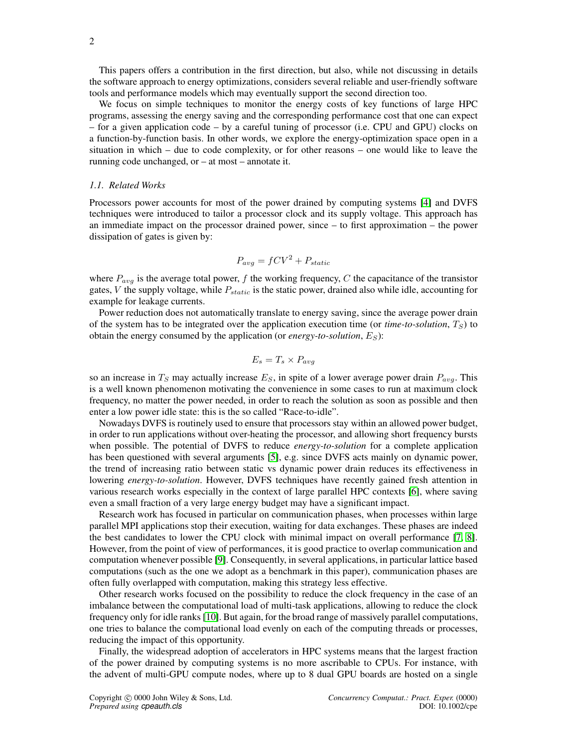This papers offers a contribution in the first direction, but also, while not discussing in details the software approach to energy optimizations, considers several reliable and user-friendly software tools and performance models which may eventually support the second direction too.

We focus on simple techniques to monitor the energy costs of key functions of large HPC programs, assessing the energy saving and the corresponding performance cost that one can expect – for a given application code – by a careful tuning of processor (i.e. CPU and GPU) clocks on a function-by-function basis. In other words, we explore the energy-optimization space open in a situation in which – due to code complexity, or for other reasons – one would like to leave the running code unchanged, or – at most – annotate it.

# *1.1. Related Works*

Processors power accounts for most of the power drained by computing systems [\[4\]](#page-15-2) and DVFS techniques were introduced to tailor a processor clock and its supply voltage. This approach has an immediate impact on the processor drained power, since – to first approximation – the power dissipation of gates is given by:

$$
P_{avg} = fCV^2 + P_{static}
$$

where  $P_{avg}$  is the average total power, f the working frequency, C the capacitance of the transistor gates,  $V$  the supply voltage, while  $P_{static}$  is the static power, drained also while idle, accounting for example for leakage currents.

Power reduction does not automatically translate to energy saving, since the average power drain of the system has to be integrated over the application execution time (or *time-to-solution*,  $T_S$ ) to obtain the energy consumed by the application (or *energy-to-solution*,  $E_S$ ):

$$
E_s = T_s \times P_{avg}
$$

so an increase in  $T_S$  may actually increase  $E_S$ , in spite of a lower average power drain  $P_{avg}$ . This is a well known phenomenon motivating the convenience in some cases to run at maximum clock frequency, no matter the power needed, in order to reach the solution as soon as possible and then enter a low power idle state: this is the so called "Race-to-idle".

Nowadays DVFS is routinely used to ensure that processors stay within an allowed power budget, in order to run applications without over-heating the processor, and allowing short frequency bursts when possible. The potential of DVFS to reduce *energy-to-solution* for a complete application has been questioned with several arguments [\[5\]](#page-15-3), e.g. since DVFS acts mainly on dynamic power, the trend of increasing ratio between static vs dynamic power drain reduces its effectiveness in lowering *energy-to-solution*. However, DVFS techniques have recently gained fresh attention in various research works especially in the context of large parallel HPC contexts [\[6\]](#page-15-4), where saving even a small fraction of a very large energy budget may have a significant impact.

Research work has focused in particular on communication phases, when processes within large parallel MPI applications stop their execution, waiting for data exchanges. These phases are indeed the best candidates to lower the CPU clock with minimal impact on overall performance [\[7,](#page-15-5) [8\]](#page-15-6). However, from the point of view of performances, it is good practice to overlap communication and computation whenever possible [\[9\]](#page-15-7). Consequently, in several applications, in particular lattice based computations (such as the one we adopt as a benchmark in this paper), communication phases are often fully overlapped with computation, making this strategy less effective.

Other research works focused on the possibility to reduce the clock frequency in the case of an imbalance between the computational load of multi-task applications, allowing to reduce the clock frequency only for idle ranks [\[10\]](#page-15-8). But again, for the broad range of massively parallel computations, one tries to balance the computational load evenly on each of the computing threads or processes, reducing the impact of this opportunity.

Finally, the widespread adoption of accelerators in HPC systems means that the largest fraction of the power drained by computing systems is no more ascribable to CPUs. For instance, with the advent of multi-GPU compute nodes, where up to 8 dual GPU boards are hosted on a single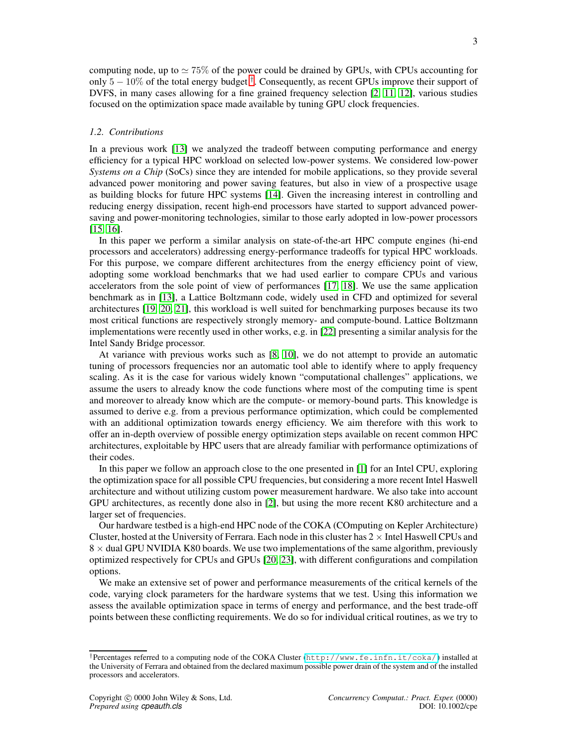computing node, up to  $\simeq 75\%$  of the power could be drained by GPUs, with CPUs accounting for only  $5 - 10\%$  of the total energy budget <sup>[†](#page-2-0)</sup>. Consequently, as recent GPUs improve their support of DVFS, in many cases allowing for a fine grained frequency selection [\[2,](#page-15-0) [11,](#page-15-9) [12\]](#page-15-10), various studies focused on the optimization space made available by tuning GPU clock frequencies.

# *1.2. Contributions*

In a previous work [\[13\]](#page-15-11) we analyzed the tradeoff between computing performance and energy efficiency for a typical HPC workload on selected low-power systems. We considered low-power *Systems on a Chip* (SoCs) since they are intended for mobile applications, so they provide several advanced power monitoring and power saving features, but also in view of a prospective usage as building blocks for future HPC systems [\[14\]](#page-15-12). Given the increasing interest in controlling and reducing energy dissipation, recent high-end processors have started to support advanced powersaving and power-monitoring technologies, similar to those early adopted in low-power processors [\[15,](#page-15-13) [16\]](#page-15-14).

In this paper we perform a similar analysis on state-of-the-art HPC compute engines (hi-end processors and accelerators) addressing energy-performance tradeoffs for typical HPC workloads. For this purpose, we compare different architectures from the energy efficiency point of view, adopting some workload benchmarks that we had used earlier to compare CPUs and various accelerators from the sole point of view of performances [\[17,](#page-15-15) [18\]](#page-15-16). We use the same application benchmark as in [\[13\]](#page-15-11), a Lattice Boltzmann code, widely used in CFD and optimized for several architectures [\[19,](#page-15-17) [20,](#page-15-18) [21\]](#page-15-19), this workload is well suited for benchmarking purposes because its two most critical functions are respectively strongly memory- and compute-bound. Lattice Boltzmann implementations were recently used in other works, e.g. in [\[22\]](#page-15-20) presenting a similar analysis for the Intel Sandy Bridge processor.

At variance with previous works such as [\[8,](#page-15-6) [10\]](#page-15-8), we do not attempt to provide an automatic tuning of processors frequencies nor an automatic tool able to identify where to apply frequency scaling. As it is the case for various widely known "computational challenges" applications, we assume the users to already know the code functions where most of the computing time is spent and moreover to already know which are the compute- or memory-bound parts. This knowledge is assumed to derive e.g. from a previous performance optimization, which could be complemented with an additional optimization towards energy efficiency. We aim therefore with this work to offer an in-depth overview of possible energy optimization steps available on recent common HPC architectures, exploitable by HPC users that are already familiar with performance optimizations of their codes.

In this paper we follow an approach close to the one presented in [\[1\]](#page-14-1) for an Intel CPU, exploring the optimization space for all possible CPU frequencies, but considering a more recent Intel Haswell architecture and without utilizing custom power measurement hardware. We also take into account GPU architectures, as recently done also in [\[2\]](#page-15-0), but using the more recent K80 architecture and a larger set of frequencies.

Our hardware testbed is a high-end HPC node of the COKA (COmputing on Kepler Architecture) Cluster, hosted at the University of Ferrara. Each node in this cluster has  $2 \times$  Intel Haswell CPUs and  $8 \times$  dual GPU NVIDIA K80 boards. We use two implementations of the same algorithm, previously optimized respectively for CPUs and GPUs [\[20,](#page-15-18) [23\]](#page-15-21), with different configurations and compilation options.

We make an extensive set of power and performance measurements of the critical kernels of the code, varying clock parameters for the hardware systems that we test. Using this information we assess the available optimization space in terms of energy and performance, and the best trade-off points between these conflicting requirements. We do so for individual critical routines, as we try to

<span id="page-2-0"></span><sup>†</sup>Percentages referred to a computing node of the COKA Cluster (<http://www.fe.infn.it/coka/>) installed at the University of Ferrara and obtained from the declared maximum possible power drain of the system and of the installed processors and accelerators.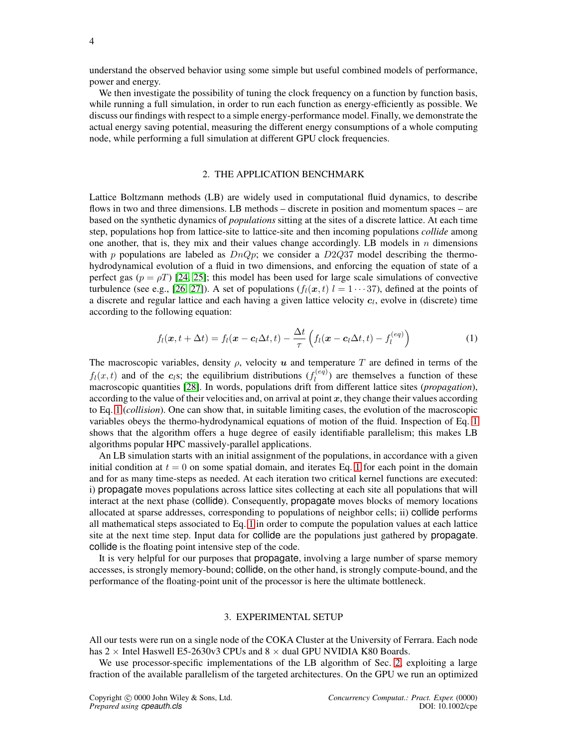understand the observed behavior using some simple but useful combined models of performance, power and energy.

We then investigate the possibility of tuning the clock frequency on a function by function basis, while running a full simulation, in order to run each function as energy-efficiently as possible. We discuss our findings with respect to a simple energy-performance model. Finally, we demonstrate the actual energy saving potential, measuring the different energy consumptions of a whole computing node, while performing a full simulation at different GPU clock frequencies.

# 2. THE APPLICATION BENCHMARK

<span id="page-3-1"></span>Lattice Boltzmann methods (LB) are widely used in computational fluid dynamics, to describe flows in two and three dimensions. LB methods – discrete in position and momentum spaces – are based on the synthetic dynamics of *populations* sitting at the sites of a discrete lattice. At each time step, populations hop from lattice-site to lattice-site and then incoming populations *collide* among one another, that is, they mix and their values change accordingly. LB models in  $n$  dimensions with p populations are labeled as  $DnQp$ ; we consider a D2Q37 model describing the thermohydrodynamical evolution of a fluid in two dimensions, and enforcing the equation of state of a perfect gas ( $p = \rho T$ ) [\[24,](#page-15-22) [25\]](#page-16-0); this model has been used for large scale simulations of convective turbulence (see e.g., [\[26,](#page-16-1) [27\]](#page-16-2)). A set of populations  $(f_l(x, t) \mid l = 1 \cdots 37)$ , defined at the points of a discrete and regular lattice and each having a given lattice velocity  $c_l$ , evolve in (discrete) time according to the following equation:

<span id="page-3-0"></span>
$$
f_l(\boldsymbol{x}, t + \Delta t) = f_l(\boldsymbol{x} - \boldsymbol{c}_l \Delta t, t) - \frac{\Delta t}{\tau} \left( f_l(\boldsymbol{x} - \boldsymbol{c}_l \Delta t, t) - f_l^{(eq)} \right)
$$
(1)

The macroscopic variables, density  $\rho$ , velocity u and temperature T are defined in terms of the  $f_l(x,t)$  and of the  $c_l$ s; the equilibrium distributions  $(f_l^{(eq)})$  $\ell_{l}^{(eq)}$ ) are themselves a function of these macroscopic quantities [\[28\]](#page-16-3). In words, populations drift from different lattice sites (*propagation*), according to the value of their velocities and, on arrival at point  $x$ , they change their values according to Eq. [1](#page-3-0) (*collision*). One can show that, in suitable limiting cases, the evolution of the macroscopic variables obeys the thermo-hydrodynamical equations of motion of the fluid. Inspection of Eq. [1](#page-3-0) shows that the algorithm offers a huge degree of easily identifiable parallelism; this makes LB algorithms popular HPC massively-parallel applications.

An LB simulation starts with an initial assignment of the populations, in accordance with a given initial condition at  $t = 0$  on some spatial domain, and iterates Eq. [1](#page-3-0) for each point in the domain and for as many time-steps as needed. At each iteration two critical kernel functions are executed: i) propagate moves populations across lattice sites collecting at each site all populations that will interact at the next phase (collide). Consequently, propagate moves blocks of memory locations allocated at sparse addresses, corresponding to populations of neighbor cells; ii) collide performs all mathematical steps associated to Eq. [1](#page-3-0) in order to compute the population values at each lattice site at the next time step. Input data for collide are the populations just gathered by propagate. collide is the floating point intensive step of the code.

It is very helpful for our purposes that propagate, involving a large number of sparse memory accesses, is strongly memory-bound; collide, on the other hand, is strongly compute-bound, and the performance of the floating-point unit of the processor is here the ultimate bottleneck.

# 3. EXPERIMENTAL SETUP

All our tests were run on a single node of the COKA Cluster at the University of Ferrara. Each node has  $2 \times$  Intel Haswell E5-2630v3 CPUs and  $8 \times$  dual GPU NVIDIA K80 Boards.

We use processor-specific implementations of the LB algorithm of Sec. [2,](#page-3-1) exploiting a large fraction of the available parallelism of the targeted architectures. On the GPU we run an optimized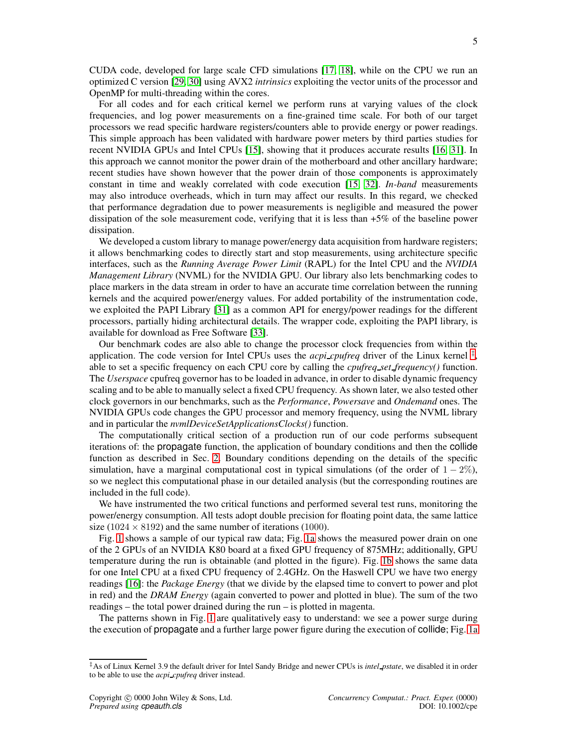CUDA code, developed for large scale CFD simulations [\[17,](#page-15-15) [18\]](#page-15-16), while on the CPU we run an optimized C version [\[29,](#page-16-4) [30\]](#page-16-5) using AVX2 *intrinsics* exploiting the vector units of the processor and OpenMP for multi-threading within the cores.

For all codes and for each critical kernel we perform runs at varying values of the clock frequencies, and log power measurements on a fine-grained time scale. For both of our target processors we read specific hardware registers/counters able to provide energy or power readings. This simple approach has been validated with hardware power meters by third parties studies for recent NVIDIA GPUs and Intel CPUs [\[15\]](#page-15-13), showing that it produces accurate results [\[16,](#page-15-14) [31\]](#page-16-6). In this approach we cannot monitor the power drain of the motherboard and other ancillary hardware; recent studies have shown however that the power drain of those components is approximately constant in time and weakly correlated with code execution [\[15,](#page-15-13) [32\]](#page-16-7). *In-band* measurements may also introduce overheads, which in turn may affect our results. In this regard, we checked that performance degradation due to power measurements is negligible and measured the power dissipation of the sole measurement code, verifying that it is less than +5% of the baseline power dissipation.

We developed a custom library to manage power/energy data acquisition from hardware registers; it allows benchmarking codes to directly start and stop measurements, using architecture specific interfaces, such as the *Running Average Power Limit* (RAPL) for the Intel CPU and the *NVIDIA Management Library* (NVML) for the NVIDIA GPU. Our library also lets benchmarking codes to place markers in the data stream in order to have an accurate time correlation between the running kernels and the acquired power/energy values. For added portability of the instrumentation code, we exploited the PAPI Library [\[31\]](#page-16-6) as a common API for energy/power readings for the different processors, partially hiding architectural details. The wrapper code, exploiting the PAPI library, is available for download as Free Software [\[33\]](#page-16-8).

Our benchmark codes are also able to change the processor clock frequencies from within the application. The code version for Intel CPUs uses the *acpi cpufreq* driver of the Linux kernel  $\ddot{\ddot{\tau}}$ , able to set a specific frequency on each CPU core by calling the *cpufreq set frequency()* function. The *Userspace* cpufreq governor has to be loaded in advance, in order to disable dynamic frequency scaling and to be able to manually select a fixed CPU frequency. As shown later, we also tested other clock governors in our benchmarks, such as the *Performance*, *Powersave* and *Ondemand* ones. The NVIDIA GPUs code changes the GPU processor and memory frequency, using the NVML library and in particular the *nvmlDeviceSetApplicationsClocks()* function.

The computationally critical section of a production run of our code performs subsequent iterations of: the propagate function, the application of boundary conditions and then the collide function as described in Sec. [2.](#page-3-1) Boundary conditions depending on the details of the specific simulation, have a marginal computational cost in typical simulations (of the order of  $1 - 2\%$ ), so we neglect this computational phase in our detailed analysis (but the corresponding routines are included in the full code).

We have instrumented the two critical functions and performed several test runs, monitoring the power/energy consumption. All tests adopt double precision for floating point data, the same lattice size (1024  $\times$  8192) and the same number of iterations (1000).

Fig. [1](#page-5-0) shows a sample of our typical raw data; Fig. [1a](#page-5-1) shows the measured power drain on one of the 2 GPUs of an NVIDIA K80 board at a fixed GPU frequency of 875MHz; additionally, GPU temperature during the run is obtainable (and plotted in the figure). Fig. [1b](#page-5-2) shows the same data for one Intel CPU at a fixed CPU frequency of 2.4GHz. On the Haswell CPU we have two energy readings [\[16\]](#page-15-14): the *Package Energy* (that we divide by the elapsed time to convert to power and plot in red) and the *DRAM Energy* (again converted to power and plotted in blue). The sum of the two readings – the total power drained during the run – is plotted in magenta.

The patterns shown in Fig. [1](#page-5-0) are qualitatively easy to understand: we see a power surge during the execution of propagate and a further large power figure during the execution of collide; Fig. [1a](#page-5-1)

<span id="page-4-0"></span><sup>‡</sup>As of Linux Kernel 3.9 the default driver for Intel Sandy Bridge and newer CPUs is *intel pstate*, we disabled it in order to be able to use the *acpi cpufreq* driver instead.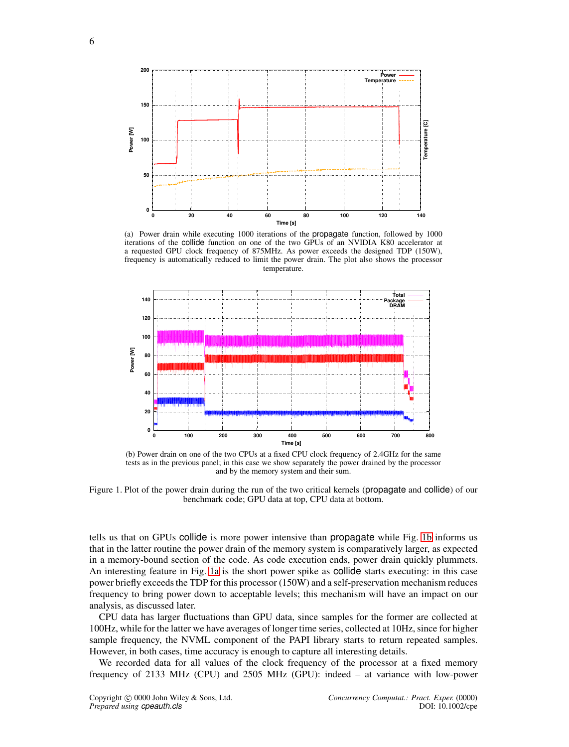<span id="page-5-1"></span><span id="page-5-0"></span>

(a) Power drain while executing 1000 iterations of the propagate function, followed by 1000 iterations of the collide function on one of the two GPUs of an NVIDIA K80 accelerator at a requested GPU clock frequency of 875MHz. As power exceeds the designed TDP (150W), frequency is automatically reduced to limit the power drain. The plot also shows the processor temperature.

<span id="page-5-2"></span>

(b) Power drain on one of the two CPUs at a fixed CPU clock frequency of 2.4GHz for the same tests as in the previous panel; in this case we show separately the power drained by the processor and by the memory system and their sum.

Figure 1. Plot of the power drain during the run of the two critical kernels (propagate and collide) of our benchmark code; GPU data at top, CPU data at bottom.

tells us that on GPUs collide is more power intensive than propagate while Fig. [1b](#page-5-2) informs us that in the latter routine the power drain of the memory system is comparatively larger, as expected in a memory-bound section of the code. As code execution ends, power drain quickly plummets. An interesting feature in Fig. [1a](#page-5-1) is the short power spike as collide starts executing: in this case power briefly exceeds the TDP for this processor (150W) and a self-preservation mechanism reduces frequency to bring power down to acceptable levels; this mechanism will have an impact on our analysis, as discussed later.

CPU data has larger fluctuations than GPU data, since samples for the former are collected at 100Hz, while for the latter we have averages of longer time series, collected at 10Hz, since for higher sample frequency, the NVML component of the PAPI library starts to return repeated samples. However, in both cases, time accuracy is enough to capture all interesting details.

We recorded data for all values of the clock frequency of the processor at a fixed memory frequency of 2133 MHz (CPU) and 2505 MHz (GPU): indeed – at variance with low-power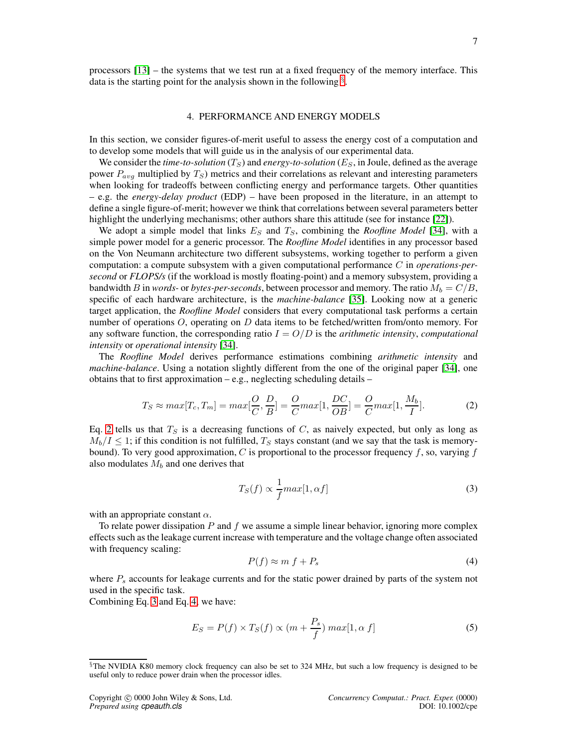processors [\[13\]](#page-15-11) – the systems that we test run at a fixed frequency of the memory interface. This data is the starting point for the analysis shown in the following  $\S$ .

# 4. PERFORMANCE AND ENERGY MODELS

In this section, we consider figures-of-merit useful to assess the energy cost of a computation and to develop some models that will guide us in the analysis of our experimental data.

We consider the *time-to-solution*  $(T<sub>S</sub>)$  and *energy-to-solution*  $(E<sub>S</sub>)$ , in Joule, defined as the average power  $P_{avg}$  multiplied by  $T_S$ ) metrics and their correlations as relevant and interesting parameters when looking for tradeoffs between conflicting energy and performance targets. Other quantities – e.g. the *energy-delay product* (EDP) – have been proposed in the literature, in an attempt to define a single figure-of-merit; however we think that correlations between several parameters better highlight the underlying mechanisms; other authors share this attitude (see for instance [\[22\]](#page-15-20)).

We adopt a simple model that links  $E<sub>S</sub>$  and  $T<sub>S</sub>$ , combining the *Roofline Model* [\[34\]](#page-16-9), with a simple power model for a generic processor. The *Roofline Model* identifies in any processor based on the Von Neumann architecture two different subsystems, working together to perform a given computation: a compute subsystem with a given computational performance C in *operations-persecond* or *FLOPS/s* (if the workload is mostly floating-point) and a memory subsystem, providing a bandwidth B in *words*- or *bytes-per-seconds*, between processor and memory. The ratio  $M_b = C/B$ , specific of each hardware architecture, is the *machine-balance* [\[35\]](#page-16-10). Looking now at a generic target application, the *Roofline Model* considers that every computational task performs a certain number of operations  $O$ , operating on  $D$  data items to be fetched/written from/onto memory. For any software function, the corresponding ratio  $I = O/D$  is the *arithmetic intensity*, *computational intensity* or *operational intensity* [\[34\]](#page-16-9).

The *Roofline Model* derives performance estimations combining *arithmetic intensity* and *machine-balance*. Using a notation slightly different from the one of the original paper [\[34\]](#page-16-9), one obtains that to first approximation  $-e.g.,$  neglecting scheduling details  $-$ 

<span id="page-6-1"></span>
$$
T_S \approx max[T_c, T_m] = max[\frac{O}{C}, \frac{D}{B}] = \frac{O}{C} max[1, \frac{DC}{OB}] = \frac{O}{C} max[1, \frac{M_b}{I}].
$$
 (2)

Eq. [2](#page-6-1) tells us that  $T<sub>S</sub>$  is a decreasing functions of C, as naively expected, but only as long as  $M_b/I \leq 1$ ; if this condition is not fulfilled,  $T_s$  stays constant (and we say that the task is memorybound). To very good approximation,  $C$  is proportional to the processor frequency  $f$ , so, varying  $f$ also modulates  $M_b$  and one derives that

<span id="page-6-2"></span>
$$
T_S(f) \propto \frac{1}{f} max[1, \alpha f]
$$
\n(3)

with an appropriate constant  $\alpha$ .

To relate power dissipation  $P$  and  $f$  we assume a simple linear behavior, ignoring more complex effects such as the leakage current increase with temperature and the voltage change often associated with frequency scaling:

<span id="page-6-3"></span>
$$
P(f) \approx m \, f + P_s \tag{4}
$$

where  $P_s$  accounts for leakage currents and for the static power drained by parts of the system not used in the specific task.

Combining Eq. [3](#page-6-2) and Eq. [4,](#page-6-3) we have:

<span id="page-6-4"></span>
$$
E_S = P(f) \times T_S(f) \propto (m + \frac{P_s}{f}) \, max[1, \alpha \, f] \tag{5}
$$

<span id="page-6-0"></span><sup>§</sup>The NVIDIA K80 memory clock frequency can also be set to 324 MHz, but such a low frequency is designed to be useful only to reduce power drain when the processor idles.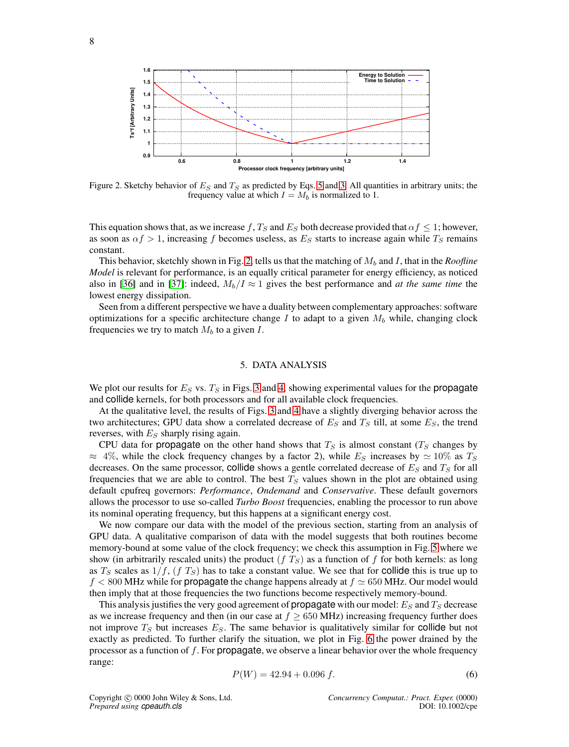<span id="page-7-0"></span>

Figure 2. Sketchy behavior of  $E<sub>S</sub>$  and  $T<sub>S</sub>$  as predicted by Eqs. [5](#page-6-4) and [3.](#page-6-2) All quantities in arbitrary units; the frequency value at which  $I = M_b$  is normalized to 1.

This equation shows that, as we increase f,  $T<sub>S</sub>$  and  $E<sub>S</sub>$  both decrease provided that  $\alpha f \leq 1$ ; however, as soon as  $\alpha f > 1$ , increasing f becomes useless, as  $E_S$  starts to increase again while  $T_S$  remains constant.

This behavior, sketchly shown in Fig. [2,](#page-7-0) tells us that the matching of  $M_b$  and I, that in the *Roofline Model* is relevant for performance, is an equally critical parameter for energy efficiency, as noticed also in [\[36\]](#page-16-11) and in [\[37\]](#page-16-12): indeed,  $M_b/I \approx 1$  gives the best performance and *at the same time* the lowest energy dissipation.

Seen from a different perspective we have a duality between complementary approaches: software optimizations for a specific architecture change I to adapt to a given  $M_b$  while, changing clock frequencies we try to match  $M_b$  to a given  $I$ .

# 5. DATA ANALYSIS

We plot our results for  $E<sub>S</sub>$  vs.  $T<sub>S</sub>$  in Figs. [3](#page-8-0) and [4,](#page-9-0) showing experimental values for the propagate and collide kernels, for both processors and for all available clock frequencies.

At the qualitative level, the results of Figs. [3](#page-8-0) and [4](#page-9-0) have a slightly diverging behavior across the two architectures; GPU data show a correlated decrease of  $E<sub>S</sub>$  and  $T<sub>S</sub>$  till, at some  $E<sub>S</sub>$ , the trend reverses, with  $E<sub>S</sub>$  sharply rising again.

CPU data for propagate on the other hand shows that  $T<sub>S</sub>$  is almost constant ( $T<sub>S</sub>$  changes by  $\approx$  4%, while the clock frequency changes by a factor 2), while  $E_S$  increases by  $\simeq$  10% as  $T_S$ decreases. On the same processor, collide shows a gentle correlated decrease of  $E<sub>S</sub>$  and  $T<sub>S</sub>$  for all frequencies that we are able to control. The best  $T<sub>S</sub>$  values shown in the plot are obtained using default cpufreq governors: *Performance*, *Ondemand* and *Conservative*. These default governors allows the processor to use so-called *Turbo Boost* frequencies, enabling the processor to run above its nominal operating frequency, but this happens at a significant energy cost.

We now compare our data with the model of the previous section, starting from an analysis of GPU data. A qualitative comparison of data with the model suggests that both routines become memory-bound at some value of the clock frequency; we check this assumption in Fig. [5](#page-10-0) where we show (in arbitrarily rescaled units) the product  $(f T<sub>S</sub>)$  as a function of f for both kernels: as long as  $T<sub>S</sub>$  scales as  $1/f$ ,  $(f T<sub>S</sub>)$  has to take a constant value. We see that for collide this is true up to  $f < 800$  MHz while for propagate the change happens already at  $f \approx 650$  MHz. Our model would then imply that at those frequencies the two functions become respectively memory-bound.

This analysis justifies the very good agreement of **propagate** with our model:  $E_S$  and  $T_S$  decrease as we increase frequency and then (in our case at  $f \geq 650$  MHz) increasing frequency further does not improve  $T<sub>S</sub>$  but increases  $E<sub>S</sub>$ . The same behavior is qualitatively similar for collide but not exactly as predicted. To further clarify the situation, we plot in Fig. [6](#page-10-1) the power drained by the processor as a function of  $f$ . For **propagate**, we observe a linear behavior over the whole frequency range:

<span id="page-7-1"></span>
$$
P(W) = 42.94 + 0.096 f.
$$
\n<sup>(6)</sup>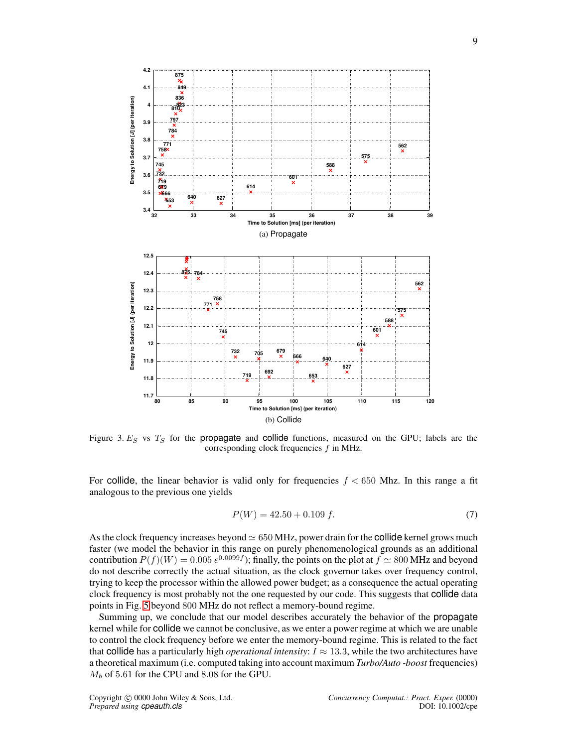<span id="page-8-0"></span>

Figure 3.  $E<sub>S</sub>$  vs  $T<sub>S</sub>$  for the propagate and collide functions, measured on the GPU; labels are the corresponding clock frequencies  $f$  in MHz.

For collide, the linear behavior is valid only for frequencies  $f < 650$  Mhz. In this range a fit analogous to the previous one yields

<span id="page-8-1"></span>
$$
P(W) = 42.50 + 0.109 f. \tag{7}
$$

As the clock frequency increases beyond  $\simeq 650$  MHz, power drain for the collide kernel grows much faster (we model the behavior in this range on purely phenomenological grounds as an additional contribution  $P(f)(W) = 0.005 e^{0.0099f}$ ; finally, the points on the plot at  $f \simeq 800$  MHz and beyond do not describe correctly the actual situation, as the clock governor takes over frequency control, trying to keep the processor within the allowed power budget; as a consequence the actual operating clock frequency is most probably not the one requested by our code. This suggests that collide data points in Fig. [5](#page-10-0) beyond 800 MHz do not reflect a memory-bound regime.

Summing up, we conclude that our model describes accurately the behavior of the propagate kernel while for collide we cannot be conclusive, as we enter a power regime at which we are unable to control the clock frequency before we enter the memory-bound regime. This is related to the fact that collide has a particularly high *operational intensity*:  $I \approx 13.3$ , while the two architectures have a theoretical maximum (i.e. computed taking into account maximum *Turbo/Auto -boost* frequencies)  $M_b$  of 5.61 for the CPU and 8.08 for the GPU.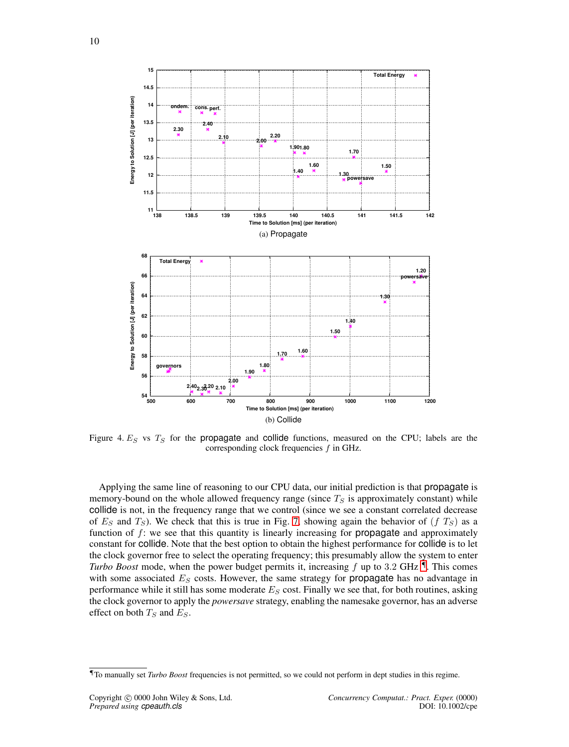<span id="page-9-0"></span>

Figure 4.  $E_S$  vs  $T_S$  for the propagate and collide functions, measured on the CPU; labels are the corresponding clock frequencies  $f$  in GHz.

Applying the same line of reasoning to our CPU data, our initial prediction is that propagate is memory-bound on the whole allowed frequency range (since  $T<sub>S</sub>$  is approximately constant) while collide is not, in the frequency range that we control (since we see a constant correlated decrease of  $E<sub>S</sub>$  and  $T<sub>S</sub>$ ). We check that this is true in Fig. [7,](#page-11-0) showing again the behavior of  $(f T<sub>S</sub>)$  as a function of  $f$ : we see that this quantity is linearly increasing for **propagate** and approximately constant for collide. Note that the best option to obtain the highest performance for collide is to let the clock governor free to select the operating frequency; this presumably allow the system to enter *Turbo Boost* mode, when the power budget permits it, increasing  $f$  up to 3.2 GHz  $\mathbb{I}$ . This comes with some associated  $E<sub>S</sub>$  costs. However, the same strategy for **propagate** has no advantage in performance while it still has some moderate  $E<sub>S</sub>$  cost. Finally we see that, for both routines, asking the clock governor to apply the *powersave* strategy, enabling the namesake governor, has an adverse effect on both  $T_S$  and  $E_S$ .

<span id="page-9-1"></span><sup>¶</sup>To manually set *Turbo Boost* frequencies is not permitted, so we could not perform in dept studies in this regime.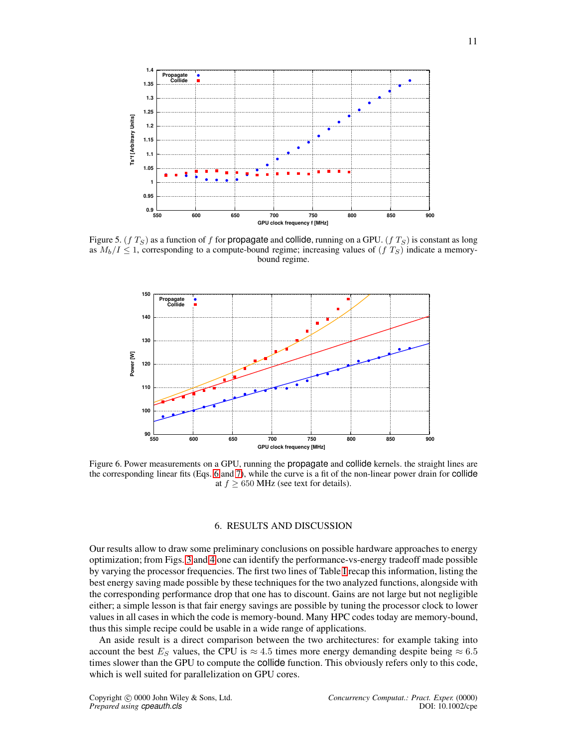<span id="page-10-0"></span>

Figure 5. (f  $T_S$ ) as a function of f for propagate and collide, running on a GPU. (f  $T_S$ ) is constant as long as  $M_b/I \leq 1$ , corresponding to a compute-bound regime; increasing values of  $(f\,T_S)$  indicate a memorybound regime.

<span id="page-10-1"></span>

Figure 6. Power measurements on a GPU, running the propagate and collide kernels. the straight lines are the corresponding linear fits (Eqs. [6](#page-7-1) and [7\)](#page-8-1), while the curve is a fit of the non-linear power drain for collide at  $f \geq 650$  MHz (see text for details).

# 6. RESULTS AND DISCUSSION

Our results allow to draw some preliminary conclusions on possible hardware approaches to energy optimization; from Figs. [3](#page-8-0) and [4](#page-9-0) one can identify the performance-vs-energy tradeoff made possible by varying the processor frequencies. The first two lines of Table [I](#page-11-1) recap this information, listing the best energy saving made possible by these techniques for the two analyzed functions, alongside with the corresponding performance drop that one has to discount. Gains are not large but not negligible either; a simple lesson is that fair energy savings are possible by tuning the processor clock to lower values in all cases in which the code is memory-bound. Many HPC codes today are memory-bound, thus this simple recipe could be usable in a wide range of applications.

An aside result is a direct comparison between the two architectures: for example taking into account the best  $E<sub>S</sub>$  values, the CPU is  $\approx 4.5$  times more energy demanding despite being  $\approx 6.5$ times slower than the GPU to compute the collide function. This obviously refers only to this code, which is well suited for parallelization on GPU cores.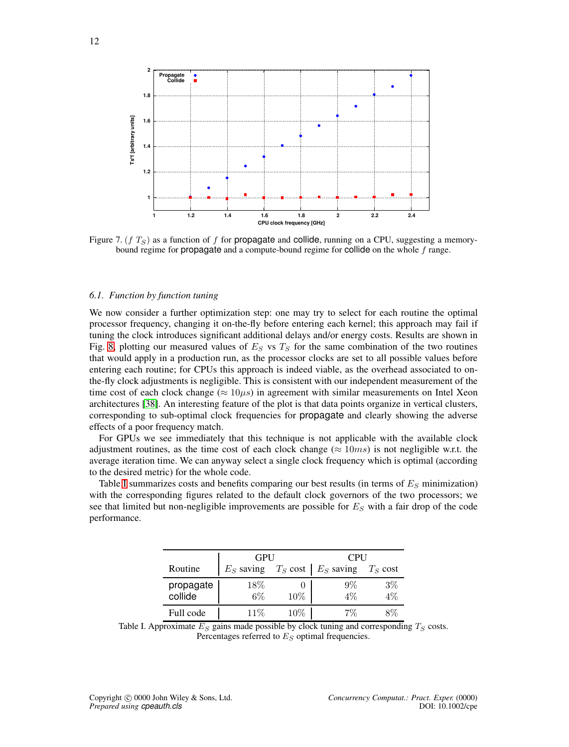<span id="page-11-0"></span>

Figure 7. (f  $T_S$ ) as a function of f for propagate and collide, running on a CPU, suggesting a memorybound regime for propagate and a compute-bound regime for collide on the whole f range.

#### *6.1. Function by function tuning*

We now consider a further optimization step: one may try to select for each routine the optimal processor frequency, changing it on-the-fly before entering each kernel; this approach may fail if tuning the clock introduces significant additional delays and/or energy costs. Results are shown in Fig. [8,](#page-12-0) plotting our measured values of  $E<sub>S</sub>$  vs  $T<sub>S</sub>$  for the same combination of the two routines that would apply in a production run, as the processor clocks are set to all possible values before entering each routine; for CPUs this approach is indeed viable, as the overhead associated to onthe-fly clock adjustments is negligible. This is consistent with our independent measurement of the time cost of each clock change ( $\approx 10\mu s$ ) in agreement with similar measurements on Intel Xeon architectures [\[38\]](#page-16-13). An interesting feature of the plot is that data points organize in vertical clusters, corresponding to sub-optimal clock frequencies for propagate and clearly showing the adverse effects of a poor frequency match.

For GPUs we see immediately that this technique is not applicable with the available clock adjustment routines, as the time cost of each clock change ( $\approx 10ms$ ) is not negligible w.r.t. the average iteration time. We can anyway select a single clock frequency which is optimal (according to the desired metric) for the whole code.

<span id="page-11-1"></span>Table [I](#page-11-1) summarizes costs and benefits comparing our best results (in terms of  $E<sub>S</sub>$  minimization) with the corresponding figures related to the default clock governors of the two processors; we see that limited but non-negligible improvements are possible for  $E<sub>S</sub>$  with a fair drop of the code performance.

|                      | GPU          |            | <b>CPU</b>   |                    |
|----------------------|--------------|------------|--------------|--------------------|
| Routine              | $E_S$ saving | $T_S$ cost | $E_S$ saving | $T_S \text{ cost}$ |
| propagate<br>collide | $18\%$<br>6% | $10\%$     | 9%<br>4%     | $3\%$              |
| Full code            | 11%          | 10%        | 7%           |                    |

Table I. Approximate  $E_S$  gains made possible by clock tuning and corresponding  $T_S$  costs. Percentages referred to  $E<sub>S</sub>$  optimal frequencies.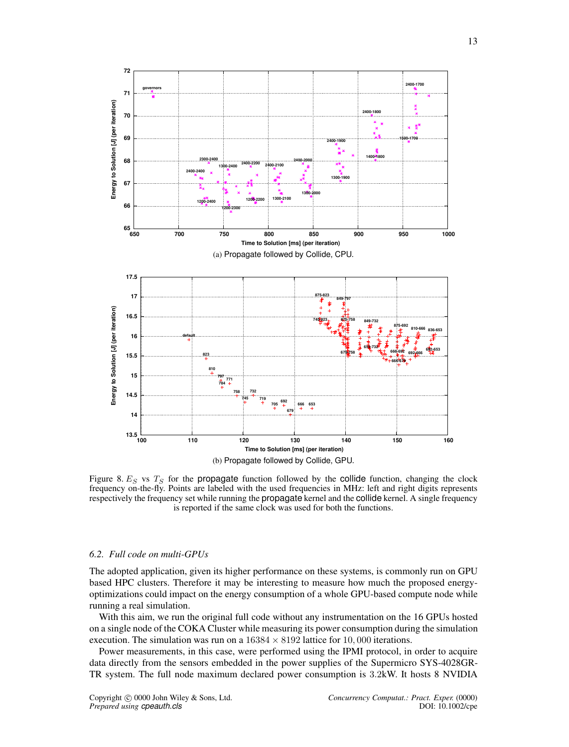<span id="page-12-0"></span>

Figure 8.  $E<sub>S</sub>$  vs  $T<sub>S</sub>$  for the propagate function followed by the collide function, changing the clock frequency on-the-fly. Points are labeled with the used frequencies in MHz: left and right digits represents respectively the frequency set while running the propagate kernel and the collide kernel. A single frequency is reported if the same clock was used for both the functions.

## *6.2. Full code on multi-GPUs*

The adopted application, given its higher performance on these systems, is commonly run on GPU based HPC clusters. Therefore it may be interesting to measure how much the proposed energyoptimizations could impact on the energy consumption of a whole GPU-based compute node while running a real simulation.

With this aim, we run the original full code without any instrumentation on the 16 GPUs hosted on a single node of the COKA Cluster while measuring its power consumption during the simulation execution. The simulation was run on a  $16384 \times 8192$  lattice for 10,000 iterations.

Power measurements, in this case, were performed using the IPMI protocol, in order to acquire data directly from the sensors embedded in the power supplies of the Supermicro SYS-4028GR-TR system. The full node maximum declared power consumption is 3.2kW. It hosts 8 NVIDIA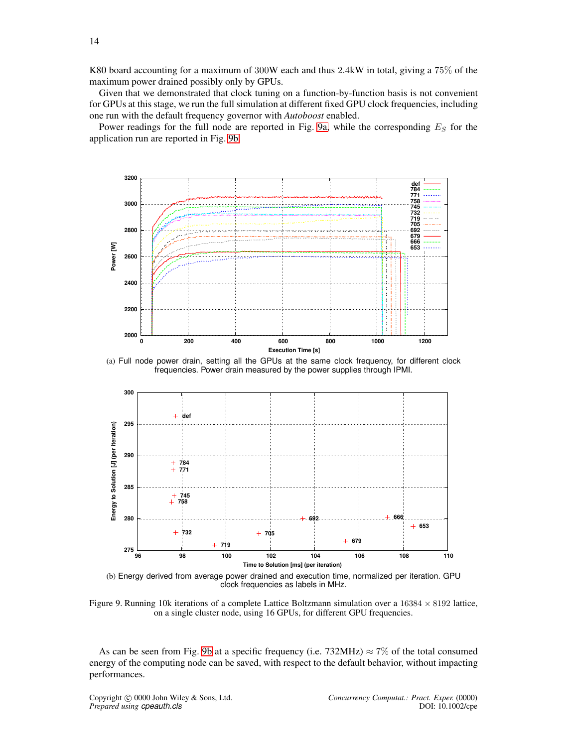K80 board accounting for a maximum of 300W each and thus 2.4kW in total, giving a 75% of the maximum power drained possibly only by GPUs.

Given that we demonstrated that clock tuning on a function-by-function basis is not convenient for GPUs at this stage, we run the full simulation at different fixed GPU clock frequencies, including one run with the default frequency governor with *Autoboost* enabled.

Power readings for the full node are reported in Fig. [9a,](#page-13-0) while the corresponding  $E<sub>S</sub>$  for the application run are reported in Fig. [9b.](#page-13-1)

<span id="page-13-0"></span>

<span id="page-13-1"></span>(a) Full node power drain, setting all the GPUs at the same clock frequency, for different clock frequencies. Power drain measured by the power supplies through IPMI.



(b) Energy derived from average power drained and execution time, normalized per iteration. GPU clock frequencies as labels in MHz.

Figure 9. Running 10k iterations of a complete Lattice Boltzmann simulation over a  $16384 \times 8192$  lattice, on a single cluster node, using 16 GPUs, for different GPU frequencies.

As can be seen from Fig. [9b](#page-13-1) at a specific frequency (i.e. 732MHz)  $\approx$  7% of the total consumed energy of the computing node can be saved, with respect to the default behavior, without impacting performances.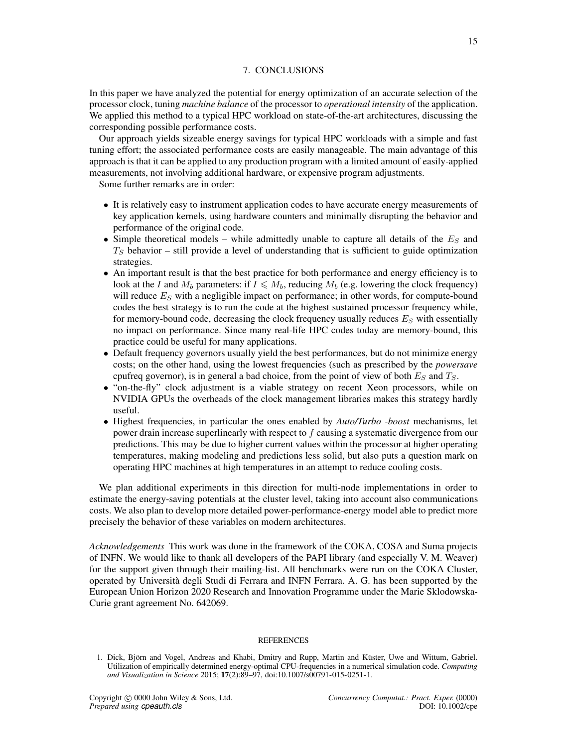# 7. CONCLUSIONS

In this paper we have analyzed the potential for energy optimization of an accurate selection of the processor clock, tuning *machine balance* of the processor to *operational intensity* of the application. We applied this method to a typical HPC workload on state-of-the-art architectures, discussing the corresponding possible performance costs.

Our approach yields sizeable energy savings for typical HPC workloads with a simple and fast tuning effort; the associated performance costs are easily manageable. The main advantage of this approach is that it can be applied to any production program with a limited amount of easily-applied measurements, not involving additional hardware, or expensive program adjustments.

Some further remarks are in order:

- It is relatively easy to instrument application codes to have accurate energy measurements of key application kernels, using hardware counters and minimally disrupting the behavior and performance of the original code.
- Simple theoretical models while admittedly unable to capture all details of the  $E<sub>S</sub>$  and  $T<sub>S</sub>$  behavior – still provide a level of understanding that is sufficient to guide optimization strategies.
- An important result is that the best practice for both performance and energy efficiency is to look at the I and  $M_b$  parameters: if  $I \nleq M_b$ , reducing  $M_b$  (e.g. lowering the clock frequency) will reduce  $E<sub>S</sub>$  with a negligible impact on performance; in other words, for compute-bound codes the best strategy is to run the code at the highest sustained processor frequency while, for memory-bound code, decreasing the clock frequency usually reduces  $E<sub>S</sub>$  with essentially no impact on performance. Since many real-life HPC codes today are memory-bound, this practice could be useful for many applications.
- Default frequency governors usually yield the best performances, but do not minimize energy costs; on the other hand, using the lowest frequencies (such as prescribed by the *powersave* cpufreq governor), is in general a bad choice, from the point of view of both  $E<sub>S</sub>$  and  $T<sub>S</sub>$ .
- "on-the-fly" clock adjustment is a viable strategy on recent Xeon processors, while on NVIDIA GPUs the overheads of the clock management libraries makes this strategy hardly useful.
- Highest frequencies, in particular the ones enabled by *Auto/Turbo -boost* mechanisms, let power drain increase superlinearly with respect to f causing a systematic divergence from our predictions. This may be due to higher current values within the processor at higher operating temperatures, making modeling and predictions less solid, but also puts a question mark on operating HPC machines at high temperatures in an attempt to reduce cooling costs.

We plan additional experiments in this direction for multi-node implementations in order to estimate the energy-saving potentials at the cluster level, taking into account also communications costs. We also plan to develop more detailed power-performance-energy model able to predict more precisely the behavior of these variables on modern architectures.

<span id="page-14-0"></span>*Acknowledgements* This work was done in the framework of the COKA, COSA and Suma projects of INFN. We would like to thank all developers of the PAPI library (and especially V. M. Weaver) for the support given through their mailing-list. All benchmarks were run on the COKA Cluster, operated by Università degli Studi di Ferrara and INFN Ferrara. A. G. has been supported by the European Union Horizon 2020 Research and Innovation Programme under the Marie Sklodowska-Curie grant agreement No. 642069.

#### REFERENCES

<span id="page-14-1"></span><sup>1.</sup> Dick, Björn and Vogel, Andreas and Khabi, Dmitry and Rupp, Martin and Küster, Uwe and Wittum, Gabriel. Utilization of empirically determined energy-optimal CPU-frequencies in a numerical simulation code. *Computing and Visualization in Science* 2015; 17(2):89–97, doi:10.1007/s00791-015-0251-1.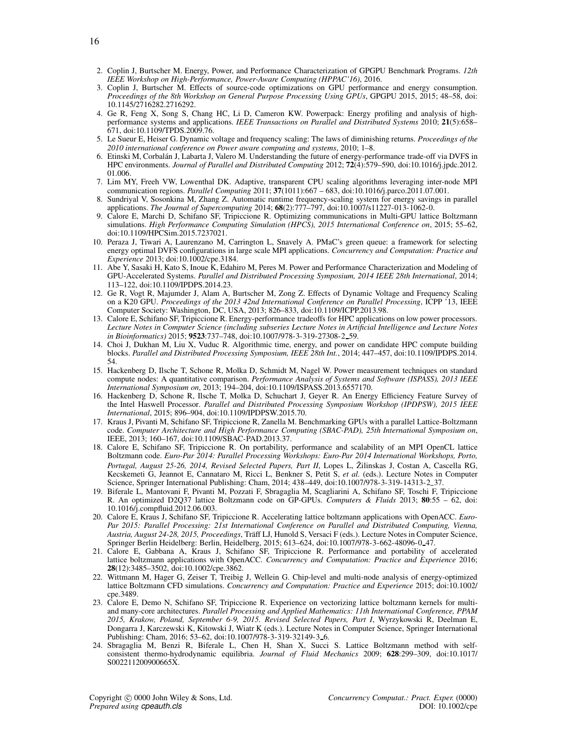- <span id="page-15-0"></span>2. Coplin J, Burtscher M. Energy, Power, and Performance Characterization of GPGPU Benchmark Programs. *12th IEEE Workshop on High-Performance, Power-Aware Computing (HPPAC'16)*, 2016.
- <span id="page-15-1"></span>3. Coplin J, Burtscher M. Effects of source-code optimizations on GPU performance and energy consumption. *Proceedings of the 8th Workshop on General Purpose Processing Using GPUs*, GPGPU 2015, 2015; 48–58, doi: 10.1145/2716282.2716292.
- <span id="page-15-2"></span>4. Ge R, Feng X, Song S, Chang HC, Li D, Cameron KW. Powerpack: Energy profiling and analysis of highperformance systems and applications. *IEEE Transactions on Parallel and Distributed Systems* 2010; 21(5):658– 671, doi:10.1109/TPDS.2009.76.
- <span id="page-15-3"></span>5. Le Sueur E, Heiser G. Dynamic voltage and frequency scaling: The laws of diminishing returns. *Proceedings of the 2010 international conference on Power aware computing and systems*, 2010; 1–8.
- <span id="page-15-4"></span>6. Etinski M, Corbal´an J, Labarta J, Valero M. Understanding the future of energy-performance trade-off via DVFS in HPC environments. *Journal of Parallel and Distributed Computing* 2012; 72(4):579–590, doi:10.1016/j.jpdc.2012. 01.006.
- <span id="page-15-5"></span>7. Lim MY, Freeh VW, Lowenthal DK. Adaptive, transparent CPU scaling algorithms leveraging inter-node MPI communication regions. *Parallel Computing* 2011; 37(1011):667 – 683, doi:10.1016/j.parco.2011.07.001.
- <span id="page-15-6"></span>8. Sundriyal V, Sosonkina M, Zhang Z. Automatic runtime frequency-scaling system for energy savings in parallel applications. *The Journal of Supercomputing* 2014; 68(2):777–797, doi:10.1007/s11227-013-1062-0.
- <span id="page-15-7"></span>9. Calore E, Marchi D, Schifano SF, Tripiccione R. Optimizing communications in Multi-GPU lattice Boltzmann simulations. *High Performance Computing Simulation (HPCS), 2015 International Conference on*, 2015; 55–62, doi:10.1109/HPCSim.2015.7237021.
- <span id="page-15-8"></span>10. Peraza J, Tiwari A, Laurenzano M, Carrington L, Snavely A. PMaC's green queue: a framework for selecting energy optimal DVFS configurations in large scale MPI applications. *Concurrency and Computation: Practice and Experience* 2013; doi:10.1002/cpe.3184.
- <span id="page-15-9"></span>11. Abe Y, Sasaki H, Kato S, Inoue K, Edahiro M, Peres M. Power and Performance Characterization and Modeling of GPU-Accelerated Systems. *Parallel and Distributed Processing Symposium, 2014 IEEE 28th International*, 2014; 113–122, doi:10.1109/IPDPS.2014.23.
- <span id="page-15-10"></span>12. Ge R, Vogt R, Majumder J, Alam A, Burtscher M, Zong Z. Effects of Dynamic Voltage and Frequency Scaling on a K20 GPU. *Proceedings of the 2013 42nd International Conference on Parallel Processing*, ICPP '13, IEEE Computer Society: Washington, DC, USA, 2013; 826–833, doi:10.1109/ICPP.2013.98.
- <span id="page-15-11"></span>13. Calore E, Schifano SF, Tripiccione R. Energy-performance tradeoffs for HPC applications on low power processors. *Lecture Notes in Computer Science (including subseries Lecture Notes in Artificial Intelligence and Lecture Notes in Bioinformatics)* 2015; 9523:737–748, doi:10.1007/978-3-319-27308-2 59.
- <span id="page-15-12"></span>14. Choi J, Dukhan M, Liu X, Vuduc R. Algorithmic time, energy, and power on candidate HPC compute building blocks. *Parallel and Distributed Processing Symposium, IEEE 28th Int.*, 2014; 447–457, doi:10.1109/IPDPS.2014. 54.
- <span id="page-15-13"></span>15. Hackenberg D, Ilsche T, Schone R, Molka D, Schmidt M, Nagel W. Power measurement techniques on standard compute nodes: A quantitative comparison. *Performance Analysis of Systems and Software (ISPASS), 2013 IEEE International Symposium on*, 2013; 194–204, doi:10.1109/ISPASS.2013.6557170.
- <span id="page-15-14"></span>16. Hackenberg D, Schone R, Ilsche T, Molka D, Schuchart J, Geyer R. An Energy Efficiency Feature Survey of the Intel Haswell Processor. *Parallel and Distributed Processing Symposium Workshop (IPDPSW), 2015 IEEE International*, 2015; 896–904, doi:10.1109/IPDPSW.2015.70.
- <span id="page-15-15"></span>17. Kraus J, Pivanti M, Schifano SF, Tripiccione R, Zanella M. Benchmarking GPUs with a parallel Lattice-Boltzmann code. *Computer Architecture and High Performance Computing (SBAC-PAD), 25th International Symposium on*, IEEE, 2013; 160–167, doi:10.1109/SBAC-PAD.2013.37.
- <span id="page-15-16"></span>18. Calore E, Schifano SF, Tripiccione R. On portability, performance and scalability of an MPI OpenCL lattice Boltzmann code. *Euro-Par 2014: Parallel Processing Workshops: Euro-Par 2014 International Workshops, Porto, Portugal, August 25-26, 2014, Revised Selected Papers, Part II, Lopes L, Žilinskas J, Costan A, Cascella RG,* Kecskemeti G, Jeannot E, Cannataro M, Ricci L, Benkner S, Petit S, *et al.* (eds.). Lecture Notes in Computer Science, Springer International Publishing: Cham, 2014; 438–449, doi:10.1007/978-3-319-14313-2 37.
- <span id="page-15-17"></span>19. Biferale L, Mantovani F, Pivanti M, Pozzati F, Sbragaglia M, Scagliarini A, Schifano SF, Toschi F, Tripiccione R. An optimized D2Q37 lattice Boltzmann code on GP-GPUs. *Computers & Fluids* 2013; 80:55 – 62, doi: 10.1016/j.compfluid.2012.06.003.
- <span id="page-15-18"></span>20. Calore E, Kraus J, Schifano SF, Tripiccione R. Accelerating lattice boltzmann applications with OpenACC. *Euro-Par 2015: Parallel Processing: 21st International Conference on Parallel and Distributed Computing, Vienna, Austria, August 24-28, 2015, Proceedings*, Träff LJ, Hunold S, Versaci F (eds.). Lecture Notes in Computer Science, Springer Berlin Heidelberg: Berlin, Heidelberg, 2015; 613–624, doi:10.1007/978-3-662-48096-0 47.
- <span id="page-15-19"></span>21. Calore E, Gabbana A, Kraus J, Schifano SF, Tripiccione R. Performance and portability of accelerated lattice boltzmann applications with OpenACC. *Concurrency and Computation: Practice and Experience* 2016; 28(12):3485–3502, doi:10.1002/cpe.3862.
- <span id="page-15-20"></span>22. Wittmann M, Hager G, Zeiser T, Treibig J, Wellein G. Chip-level and multi-node analysis of energy-optimized lattice Boltzmann CFD simulations. *Concurrency and Computation: Practice and Experience* 2015; doi:10.1002/ cpe.3489.
- <span id="page-15-21"></span>23. Calore E, Demo N, Schifano SF, Tripiccione R. Experience on vectorizing lattice boltzmann kernels for multiand many-core architectures. *Parallel Processing and Applied Mathematics: 11th International Conference, PPAM 2015, Krakow, Poland, September 6-9, 2015. Revised Selected Papers, Part I*, Wyrzykowski R, Deelman E, Dongarra J, Karczewski K, Kitowski J, Wiatr K (eds.). Lecture Notes in Computer Science, Springer International Publishing: Cham, 2016; 53–62, doi:10.1007/978-3-319-32149-3 6.
- <span id="page-15-22"></span>24. Sbragaglia M, Benzi R, Biferale L, Chen H, Shan X, Succi S. Lattice Boltzmann method with selfconsistent thermo-hydrodynamic equilibria. *Journal of Fluid Mechanics* 2009; 628:299–309, doi:10.1017/ S002211200900665X.